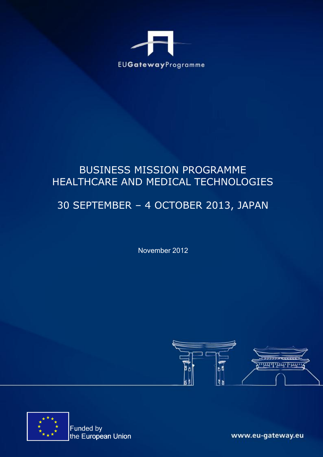

## BUSINESS MISSION PROGRAMME HEALTHCARE AND MEDICAL TECHNOLOGIES

## 30 SEPTEMBER – 4 OCTOBER 2013, JAPAN

November 2012





Funded by the European Union

www.eu-gateway.eu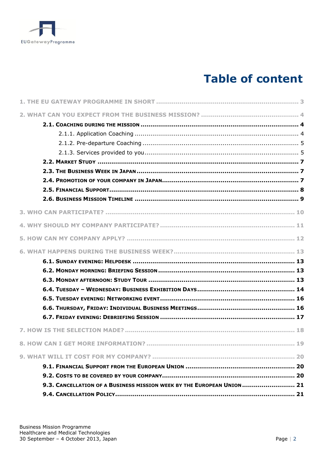

# **Table of content**

| 9.3. CANCELLATION OF A BUSINESS MISSION WEEK BY THE EUROPEAN UNION  21 |  |
|------------------------------------------------------------------------|--|
|                                                                        |  |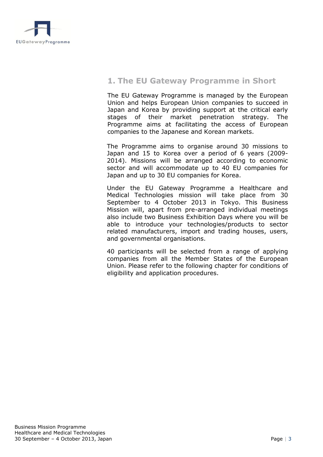<span id="page-2-0"></span>

## **1. The EU Gateway Programme in Short**

The EU Gateway Programme is managed by the European Union and helps European Union companies to succeed in Japan and Korea by providing support at the critical early stages of their market penetration strategy. The Programme aims at facilitating the access of European companies to the Japanese and Korean markets.

The Programme aims to organise around 30 missions to Japan and 15 to Korea over a period of 6 years (2009- 2014). Missions will be arranged according to economic sector and will accommodate up to 40 EU companies for Japan and up to 30 EU companies for Korea.

Under the EU Gateway Programme a Healthcare and Medical Technologies mission will take place from 30 September to 4 October 2013 in Tokyo. This Business Mission will, apart from pre-arranged individual meetings also include two Business Exhibition Days where you will be able to introduce your technologies/products to sector related manufacturers, import and trading houses, users, and governmental organisations.

40 participants will be selected from a range of applying companies from all the Member States of the European Union. Please refer to the following chapter for conditions of eligibility and application procedures.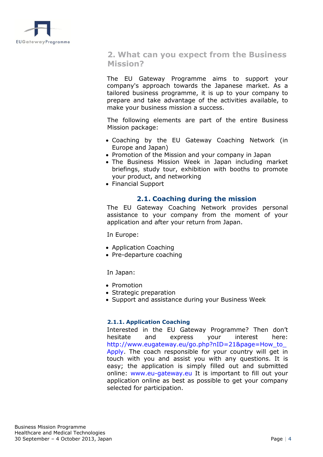<span id="page-3-0"></span>

## **2. What can you expect from the Business Mission?**

The EU Gateway Programme aims to support your company's approach towards the Japanese market. As a tailored business programme, it is up to your company to prepare and take advantage of the activities available, to make your business mission a success.

The following elements are part of the entire Business Mission package:

- Coaching by the EU Gateway Coaching Network (in Europe and Japan)
- Promotion of the Mission and your company in Japan
- The Business Mission Week in Japan including market briefings, study tour, exhibition with booths to promote your product, and networking
- <span id="page-3-1"></span>• Financial Support

#### **2.1. Coaching during the mission**

The EU Gateway Coaching Network provides personal assistance to your company from the moment of your application and after your return from Japan.

In Europe:

- Application Coaching
- Pre-departure coaching

In Japan:

- Promotion
- Strategic preparation
- Support and assistance during your Business Week

#### <span id="page-3-2"></span>**2.1.1. Application Coaching**

Interested in the EU Gateway Programme? Then don't hesitate and express your interest here: http://www.eugateway.eu/go.php?nID=21&page=How\_to\_ Apply. The coach responsible for your country will get in touch with you and assist you with any questions. It is easy; the application is simply filled out and submitted online: www.eu-gateway.eu It is important to fill out your application online as best as possible to get your company selected for participation.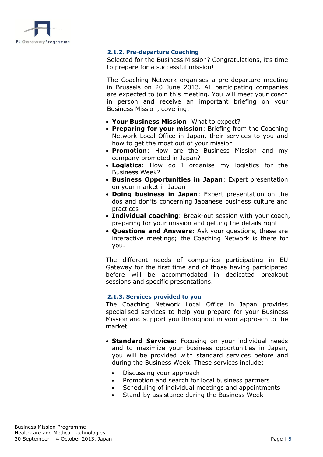<span id="page-4-0"></span>

#### **2.1.2. Pre-departure Coaching**

Selected for the Business Mission? Congratulations, it's time to prepare for a successful mission!

The Coaching Network organises a pre-departure meeting in Brussels on 20 June 2013. All participating companies are expected to join this meeting. You will meet your coach in person and receive an important briefing on your Business Mission, covering:

- **Your Business Mission**: What to expect?
- **Preparing for your mission**: Briefing from the Coaching Network Local Office in Japan, their services to you and how to get the most out of your mission
- **Promotion**: How are the Business Mission and my company promoted in Japan?
- **Logistics**: How do I organise my logistics for the Business Week?
- **Business Opportunities in Japan**: Expert presentation on your market in Japan
- **Doing business in Japan**: Expert presentation on the dos and don'ts concerning Japanese business culture and practices
- **Individual coaching**: Break-out session with your coach, preparing for your mission and getting the details right
- **Questions and Answers**: Ask your questions, these are interactive meetings; the Coaching Network is there for you.

The different needs of companies participating in EU Gateway for the first time and of those having participated before will be accommodated in dedicated breakout sessions and specific presentations.

#### **2.1.3. Services provided to you**

<span id="page-4-1"></span>The Coaching Network Local Office in Japan provides specialised services to help you prepare for your Business Mission and support you throughout in your approach to the market.

- **Standard Services**: Focusing on your individual needs and to maximize your business opportunities in Japan, you will be provided with standard services before and during the Business Week. These services include:
	- Discussing your approach
	- Promotion and search for local business partners
	- Scheduling of individual meetings and appointments
	- Stand-by assistance during the Business Week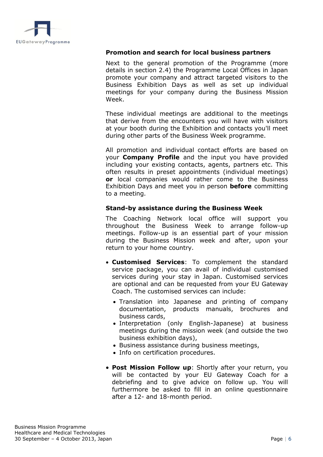

#### **Promotion and search for local business partners**

Next to the general promotion of the Programme (more details in section 2.4) the Programme Local Offices in Japan promote your company and attract targeted visitors to the Business Exhibition Days as well as set up individual meetings for your company during the Business Mission Week.

These individual meetings are additional to the meetings that derive from the encounters you will have with visitors at your booth during the Exhibition and contacts you'll meet during other parts of the Business Week programme.

All promotion and individual contact efforts are based on your **Company Profile** and the input you have provided including your existing contacts, agents, partners etc. This often results in preset appointments (individual meetings) **or** local companies would rather come to the Business Exhibition Days and meet you in person **before** committing to a meeting.

## **Stand-by assistance during the Business Week**

The Coaching Network local office will support you throughout the Business Week to arrange follow-up meetings. Follow-up is an essential part of your mission during the Business Mission week and after, upon your return to your home country.

- **Customised Services**: To complement the standard service package, you can avail of individual customised services during your stay in Japan. Customised services are optional and can be requested from your EU Gateway Coach. The customised services can include:
	- Translation into Japanese and printing of company documentation, products manuals, brochures and business cards,
	- Interpretation (only English-Japanese) at business meetings during the mission week (and outside the two business exhibition days),
	- Business assistance during business meetings,
	- Info on certification procedures.
- **Post Mission Follow up**: Shortly after your return, you will be contacted by your EU Gateway Coach for a debriefing and to give advice on follow up. You will furthermore be asked to fill in an online questionnaire after a 12- and 18-month period.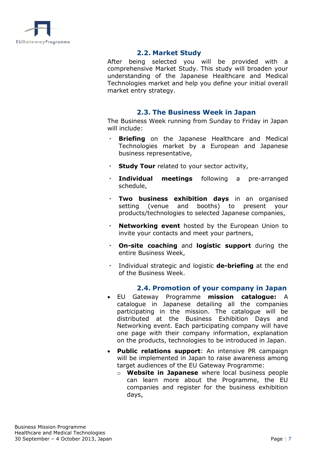<span id="page-6-1"></span><span id="page-6-0"></span>

## **2.2. Market Study**

After being selected you will be provided with a comprehensive Market Study. This study will broaden your understanding of the Japanese Healthcare and Medical Technologies market and help you define your initial overall market entry strategy.

#### **2.3. The Business Week in Japan**

The Business Week running from Sunday to Friday in Japan will include:

- **Briefing** on the Japanese Healthcare and Medical Technologies market by a European and Japanese business representative,
- **Study Tour** related to your sector activity,
- **Individual meetings** following a pre-arranged schedule,
- ・ **Two business exhibition days** in an organised setting (venue and booths) to present your products/technologies to selected Japanese companies,
- **Networking event** hosted by the European Union to invite your contacts and meet your partners,
- ・ **On-site coaching** and **logistic support** during the entire Business Week,
- ・ Individual strategic and logistic **de-briefing** at the end of the Business Week.

#### **2.4. Promotion of your company in Japan**

- <span id="page-6-2"></span> EU Gateway Programme **mission catalogue:** A catalogue in Japanese detailing all the companies participating in the mission. The catalogue will be distributed at the Business Exhibition Days and Networking event. Each participating company will have one page with their company information, explanation on the products, technologies to be introduced in Japan.
- **Public relations support**: An intensive PR campaign will be implemented in Japan to raise awareness among target audiences of the EU Gateway Programme:
	- o **Website in Japanese** where local business people can learn more about the Programme, the EU companies and register for the business exhibition days,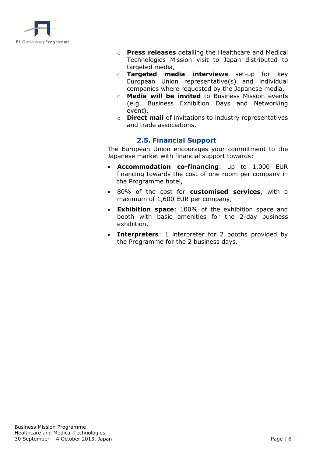

- o **Press releases** detailing the Healthcare and Medical Technologies Mission visit to Japan distributed to targeted media,
- o **Targeted media interviews** set-up for key European Union representative(s) and individual companies where requested by the Japanese media,
- o **Media will be invited** to Business Mission events (e.g. Business Exhibition Days and Networking event),
- o **Direct mail** of invitations to industry representatives and trade associations.

## **2.5. Financial Support**

<span id="page-7-0"></span>The European Union encourages your commitment to the Japanese market with financial support towards:

- **Accommodation co-financing**: up to 1,000 EUR financing towards the cost of one room per company in the Programme hotel,
- 80% of the cost for **customised services**, with a maximum of 1,600 EUR per company,
- **Exhibition space**: 100% of the exhibition space and booth with basic amenities for the 2-day business exhibition,
- **Interpreters**: 1 interpreter for 2 booths provided by the Programme for the 2 business days.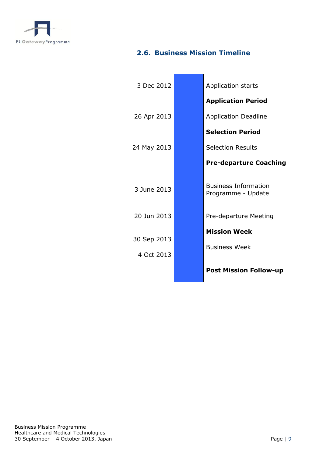

## <span id="page-8-0"></span>**2.6. Business Mission Timeline**

i<br>T

 $\blacksquare$ 

| 3 Dec 2012                | Application starts                                |
|---------------------------|---------------------------------------------------|
|                           | <b>Application Period</b>                         |
| 26 Apr 2013               | <b>Application Deadline</b>                       |
|                           | <b>Selection Period</b>                           |
| 24 May 2013               | <b>Selection Results</b>                          |
|                           | <b>Pre-departure Coaching</b>                     |
| 3 June 2013               | <b>Business Information</b><br>Programme - Update |
| 20 Jun 2013               | Pre-departure Meeting                             |
| 30 Sep 2013<br>4 Oct 2013 | <b>Mission Week</b><br><b>Business Week</b>       |
|                           | <b>Post Mission Follow-up</b>                     |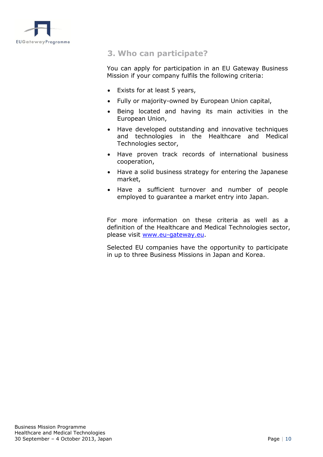<span id="page-9-0"></span>

## **3. Who can participate?**

You can apply for participation in an EU Gateway Business Mission if your company fulfils the following criteria:

- Exists for at least 5 years,
- Fully or majority-owned by European Union capital,
- Being located and having its main activities in the European Union,
- Have developed outstanding and innovative techniques and technologies in the Healthcare and Medical Technologies sector,
- Have proven track records of international business cooperation,
- Have a solid business strategy for entering the Japanese market,
- Have a sufficient turnover and number of people employed to guarantee a market entry into Japan.

For more information on these criteria as well as a definition of the Healthcare and Medical Technologies sector, please visit [www.eu-gateway.eu.](http://www.eu-gateway.eu/)

Selected EU companies have the opportunity to participate in up to three Business Missions in Japan and Korea.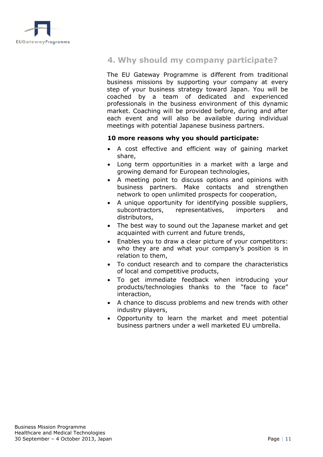<span id="page-10-0"></span>

## **4. Why should my company participate?**

The EU Gateway Programme is different from traditional business missions by supporting your company at every step of your business strategy toward Japan. You will be coached by a team of dedicated and experienced professionals in the business environment of this dynamic market. Coaching will be provided before, during and after each event and will also be available during individual meetings with potential Japanese business partners.

#### **10 more reasons why you should participate:**

- A cost effective and efficient way of gaining market share,
- Long term opportunities in a market with a large and growing demand for European technologies,
- A meeting point to discuss options and opinions with business partners. Make contacts and strengthen network to open unlimited prospects for cooperation,
- A unique opportunity for identifying possible suppliers, subcontractors, representatives, importers and distributors,
- The best way to sound out the Japanese market and get acquainted with current and future trends,
- Enables you to draw a clear picture of your competitors: who they are and what your company's position is in relation to them,
- To conduct research and to compare the characteristics of local and competitive products,
- To get immediate feedback when introducing your products/technologies thanks to the "face to face" interaction,
- A chance to discuss problems and new trends with other industry players,
- Opportunity to learn the market and meet potential business partners under a well marketed EU umbrella.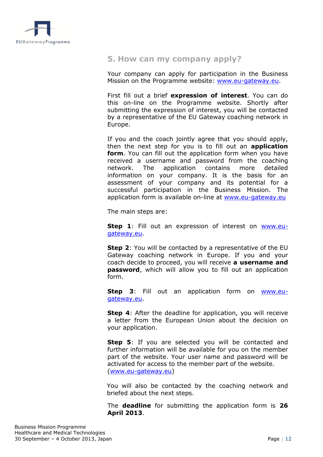<span id="page-11-0"></span>

## **5. How can my company apply?**

Your company can apply for participation in the Business Mission on the Programme website: [www.eu-gateway.eu.](http://www.eu-gateway.eu/)

First fill out a brief **expression of interest**. You can do this on-line on the Programme website. Shortly after submitting the expression of interest, you will be contacted by a representative of the EU Gateway coaching network in Europe.

If you and the coach jointly agree that you should apply, then the next step for you is to fill out an **application form**. You can fill out the application form when you have received a username and password from the coaching network. The application contains more detailed information on your company. It is the basis for an assessment of your company and its potential for a successful participation in the Business Mission. The application form is available on-line at [www.eu-gateway.eu](http://www.eu-gateway.eu/)

The main steps are:

**Step 1**: Fill out an expression of interest on **WWW.eu**[gateway.eu.](http://www.eu-gateway.eu/)

**Step 2**: You will be contacted by a representative of the EU Gateway coaching network in Europe. If you and your coach decide to proceed, you will receive **a username and password**, which will allow you to fill out an application form.

**Step 3**: Fill out an application form on [www.eu](http://www.eu-gateway.eu/)[gateway.eu.](http://www.eu-gateway.eu/)

**Step 4:** After the deadline for application, you will receive a letter from the European Union about the decision on your application.

**Step 5**: If you are selected you will be contacted and further information will be available for you on the member part of the website. Your user name and password will be activated for access to the member part of the website. [\(www.eu-gateway.eu\)](http://www.eu-gateway.eu/)

You will also be contacted by the coaching network and briefed about the next steps.

The **deadline** for submitting the application form is **26 April 2013**.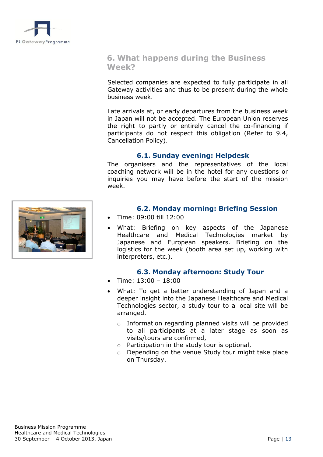<span id="page-12-0"></span>

## **6. What happens during the Business Week?**

Selected companies are expected to fully participate in all Gateway activities and thus to be present during the whole business week.

Late arrivals at, or early departures from the business week in Japan will not be accepted. The European Union reserves the right to partly or entirely cancel the co-financing if participants do not respect this obligation (Refer to 9.4, Cancellation Policy).

## **6.1. Sunday evening: Helpdesk**

The organisers and the representatives of the local coaching network will be in the hotel for any questions or inquiries you may have before the start of the mission week.

<span id="page-12-3"></span><span id="page-12-2"></span><span id="page-12-1"></span>

## **6.2. Monday morning: Briefing Session**

- Time: 09:00 till 12:00
- What: Briefing on key aspects of the Japanese Healthcare and Medical Technologies market by Japanese and European speakers. Briefing on the logistics for the week (booth area set up, working with interpreters, etc.).

## **6.3. Monday afternoon: Study Tour**

- Time: 13:00 18:00
- What: To get a better understanding of Japan and a deeper insight into the Japanese Healthcare and Medical Technologies sector, a study tour to a local site will be arranged.
	- o Information regarding planned visits will be provided to all participants at a later stage as soon as visits/tours are confirmed,
	- o Participation in the study tour is optional,
	- o Depending on the venue Study tour might take place on Thursday.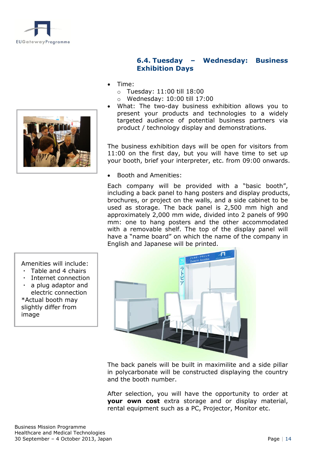<span id="page-13-0"></span>



## **6.4. Tuesday – Wednesday: Business Exhibition Days**

- Time:
	- o Tuesday: 11:00 till 18:00
	- o Wednesday: 10:00 till 17:00
- What: The two-day business exhibition allows you to present your products and technologies to a widely targeted audience of potential business partners via product / technology display and demonstrations.

The business exhibition days will be open for visitors from 11:00 on the first day, but you will have time to set up your booth, brief your interpreter, etc. from 09:00 onwards.

Booth and Amenities:

Each company will be provided with a "basic booth", including a back panel to hang posters and display products, brochures, or project on the walls, and a side cabinet to be used as storage. The back panel is 2,500 mm high and approximately 2,000 mm wide, divided into 2 panels of 990 mm: one to hang posters and the other accommodated with a removable shelf. The top of the display panel will have a "name board" on which the name of the company in English and Japanese will be printed.



The back panels will be built in maximilite and a side pillar in polycarbonate will be constructed displaying the country and the booth number.

After selection, you will have the opportunity to order at **your own cost** extra storage and or display material, rental equipment such as a PC, Projector, Monitor etc.

Amenities will include:

- ・ Table and 4 chairs
- Internet connection
- a plug adaptor and electric connection \*Actual booth may slightly differ from image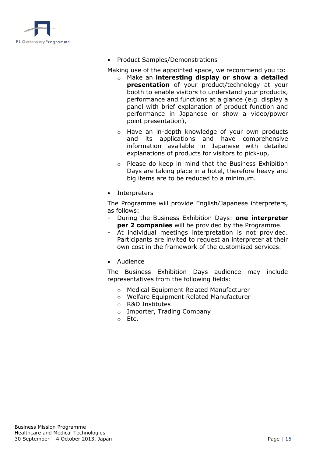

• Product Samples/Demonstrations

Making use of the appointed space, we recommend you to:

- o Make an **interesting display or show a detailed presentation** of your product/technology at your booth to enable visitors to understand your products, performance and functions at a glance (e.g. display a panel with brief explanation of product function and performance in Japanese or show a video/power point presentation),
- o Have an in-depth knowledge of your own products and its applications and have comprehensive information available in Japanese with detailed explanations of products for visitors to pick-up,
- o Please do keep in mind that the Business Exhibition Days are taking place in a hotel, therefore heavy and big items are to be reduced to a minimum.
- Interpreters

The Programme will provide English/Japanese interpreters, as follows:

- During the Business Exhibition Days: **one interpreter per 2 companies** will be provided by the Programme.
- At individual meetings interpretation is not provided. Participants are invited to request an interpreter at their own cost in the framework of the customised services.
- Audience

The Business Exhibition Days audience may include representatives from the following fields:

- o Medical Equipment Related Manufacturer
- o Welfare Equipment Related Manufacturer
- o R&D Institutes
- o Importer, Trading Company
- o Etc.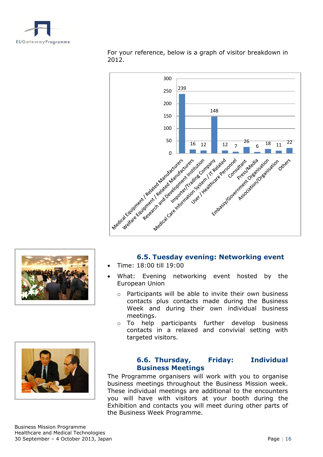

For your reference, below is a graph of visitor breakdown in 2012.



<span id="page-15-0"></span>



## **6.5. Tuesday evening: Networking event**

- Time: 18:00 till 19:00
- What: Evening networking event hosted by the European Union
	- o Participants will be able to invite their own business contacts plus contacts made during the Business Week and during their own individual business meetings.
	- o To help participants further develop business contacts in a relaxed and convivial setting with targeted visitors.

## <span id="page-15-1"></span>**6.6. Thursday, Friday: Individual Business Meetings**

The Programme organisers will work with you to organise business meetings throughout the Business Mission week. These individual meetings are additional to the encounters you will have with visitors at your booth during the Exhibition and contacts you will meet during other parts of the Business Week Programme.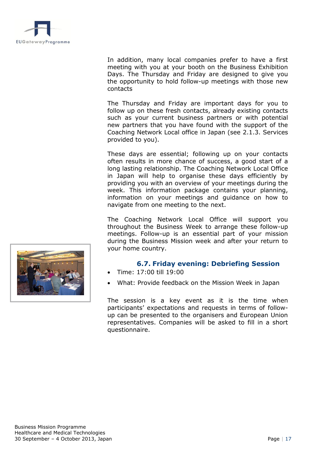

In addition, many local companies prefer to have a first meeting with you at your booth on the Business Exhibition Days. The Thursday and Friday are designed to give you the opportunity to hold follow-up meetings with those new contacts

The Thursday and Friday are important days for you to follow up on these fresh contacts, already existing contacts such as your current business partners or with potential new partners that you have found with the support of the Coaching Network Local office in Japan (see 2.1.3. Services provided to you).

These days are essential; following up on your contacts often results in more chance of success, a good start of a long lasting relationship. The Coaching Network Local Office in Japan will help to organise these days efficiently by providing you with an overview of your meetings during the week. This information package contains your planning, information on your meetings and guidance on how to navigate from one meeting to the next.

The Coaching Network Local Office will support you throughout the Business Week to arrange these follow-up meetings. Follow-up is an essential part of your mission during the Business Mission week and after your return to your home country.

## **6.7. Friday evening: Debriefing Session**

- Time: 17:00 till 19:00
- What: Provide feedback on the Mission Week in Japan

The session is a key event as it is the time when participants' expectations and requests in terms of followup can be presented to the organisers and European Union representatives. Companies will be asked to fill in a short questionnaire.

<span id="page-16-0"></span>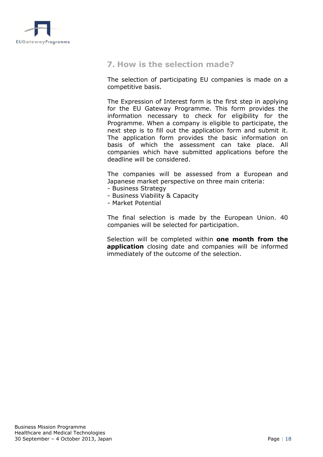<span id="page-17-0"></span>

## **7. How is the selection made?**

The selection of participating EU companies is made on a competitive basis.

The Expression of Interest form is the first step in applying for the EU Gateway Programme. This form provides the information necessary to check for eligibility for the Programme. When a company is eligible to participate, the next step is to fill out the application form and submit it. The application form provides the basic information on basis of which the assessment can take place. All companies which have submitted applications before the deadline will be considered.

The companies will be assessed from a European and Japanese market perspective on three main criteria:

- Business Strategy
	- Business Viability & Capacity
	- Market Potential

The final selection is made by the European Union. 40 companies will be selected for participation.

Selection will be completed within **one month from the application** closing date and companies will be informed immediately of the outcome of the selection.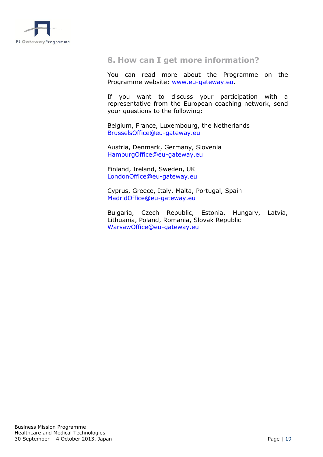<span id="page-18-0"></span>

## **8. How can I get more information?**

You can read more about the Programme on the Programme website: [www.eu-gateway.eu.](http://www.eu-gateway.eu/)

If you want to discuss your participation with a representative from the European coaching network, send your questions to the following:

Belgium, France, Luxembourg, the Netherlands [BrusselsOffice@eu-gateway.eu](mailto:BrusselsOffice@eu-gateway.eu)

Austria, Denmark, Germany, Slovenia [HamburgOffice@eu-gateway.eu](mailto:HamburgOffice@eu-gateway.eu)

Finland, Ireland, Sweden, UK [LondonOffice@eu-gateway.eu](mailto:LondonOffice@eu-gateway.eu)

Cyprus, Greece, Italy, Malta, Portugal, Spain [MadridOffice@eu-gateway.eu](mailto:MadridOffice@eu-gateway.eu)

Bulgaria, Czech Republic, Estonia, Hungary, Latvia, Lithuania, Poland, Romania, Slovak Republic [WarsawOffice@eu-gateway.eu](mailto:WarsawOffice@eu-gateway.eu)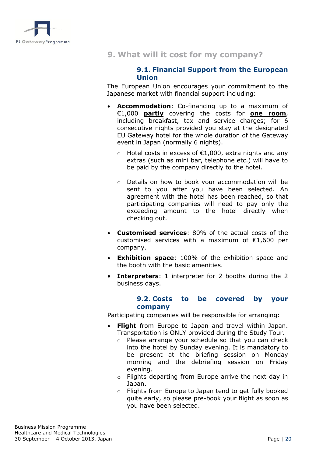<span id="page-19-1"></span><span id="page-19-0"></span>

## **9. What will it cost for my company?**

#### **9.1. Financial Support from the European Union**

The European Union encourages your commitment to the Japanese market with financial support including:

- **Accommodation**: Co-financing up to a maximum of €1,000 **partly** covering the costs for **one room**, including breakfast, tax and service charges; for 6 consecutive nights provided you stay at the designated EU Gateway hotel for the whole duration of the Gateway event in Japan (normally 6 nights).
	- o Hotel costs in excess of €1,000, extra nights and any extras (such as mini bar, telephone etc.) will have to be paid by the company directly to the hotel.
	- o Details on how to book your accommodation will be sent to you after you have been selected. An agreement with the hotel has been reached, so that participating companies will need to pay only the exceeding amount to the hotel directly when checking out.
- **Customised services**: 80% of the actual costs of the customised services with a maximum of €1,600 per company.
- **Exhibition space**: 100% of the exhibition space and the booth with the basic amenities.
- <span id="page-19-2"></span> **Interpreters**: 1 interpreter for 2 booths during the 2 business days.

#### **9.2. Costs to be covered by your company**

Participating companies will be responsible for arranging:

- **Flight** from Europe to Japan and travel within Japan. Transportation is ONLY provided during the Study Tour.
	- o Please arrange your schedule so that you can check into the hotel by Sunday evening. It is mandatory to be present at the briefing session on Monday morning and the debriefing session on Friday evening.
	- o Flights departing from Europe arrive the next day in Japan.
	- o Flights from Europe to Japan tend to get fully booked quite early, so please pre-book your flight as soon as you have been selected.